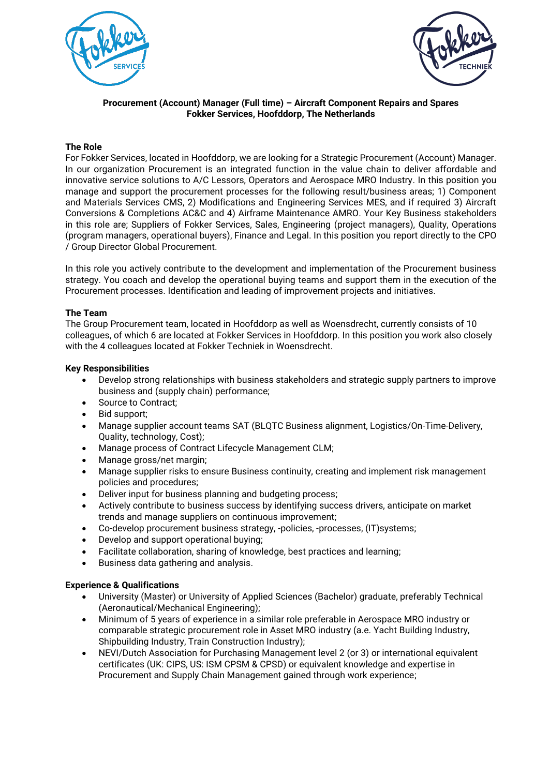



## **Procurement (Account) Manager (Full time) – Aircraft Component Repairs and Spares Fokker Services, Hoofddorp, The Netherlands**

## **The Role**

For Fokker Services, located in Hoofddorp, we are looking for a Strategic Procurement (Account) Manager. In our organization Procurement is an integrated function in the value chain to deliver affordable and innovative service solutions to A/C Lessors, Operators and Aerospace MRO Industry. In this position you manage and support the procurement processes for the following result/business areas; 1) Component and Materials Services CMS, 2) Modifications and Engineering Services MES, and if required 3) Aircraft Conversions & Completions AC&C and 4) Airframe Maintenance AMRO. Your Key Business stakeholders in this role are; Suppliers of Fokker Services, Sales, Engineering (project managers), Quality, Operations (program managers, operational buyers), Finance and Legal. In this position you report directly to the CPO / Group Director Global Procurement.

In this role you actively contribute to the development and implementation of the Procurement business strategy. You coach and develop the operational buying teams and support them in the execution of the Procurement processes. Identification and leading of improvement projects and initiatives.

# **The Team**

The Group Procurement team, located in Hoofddorp as well as Woensdrecht, currently consists of 10 colleagues, of which 6 are located at Fokker Services in Hoofddorp. In this position you work also closely with the 4 colleagues located at Fokker Techniek in Woensdrecht.

# **Key Responsibilities**

- Develop strong relationships with business stakeholders and strategic supply partners to improve business and (supply chain) performance;
- Source to Contract;
- Bid support;
- Manage supplier account teams SAT (BLQTC Business alignment, Logistics/On-Time-Delivery, Quality, technology, Cost);
- Manage process of Contract Lifecycle Management CLM;
- Manage gross/net margin:
- Manage supplier risks to ensure Business continuity, creating and implement risk management policies and procedures;
- Deliver input for business planning and budgeting process;
- Actively contribute to business success by identifying success drivers, anticipate on market trends and manage suppliers on continuous improvement;
- Co-develop procurement business strategy, -policies, -processes, (IT)systems;
- Develop and support operational buying;
- Facilitate collaboration, sharing of knowledge, best practices and learning;
- Business data gathering and analysis.

## **Experience & Qualifications**

- University (Master) or University of Applied Sciences (Bachelor) graduate, preferably Technical (Aeronautical/Mechanical Engineering);
- Minimum of 5 years of experience in a similar role preferable in Aerospace MRO industry or comparable strategic procurement role in Asset MRO industry (a.e. Yacht Building Industry, Shipbuilding Industry, Train Construction Industry);
- NEVI/Dutch Association for Purchasing Management level 2 (or 3) or international equivalent certificates (UK: CIPS, US: ISM CPSM & CPSD) or equivalent knowledge and expertise in Procurement and Supply Chain Management gained through work experience;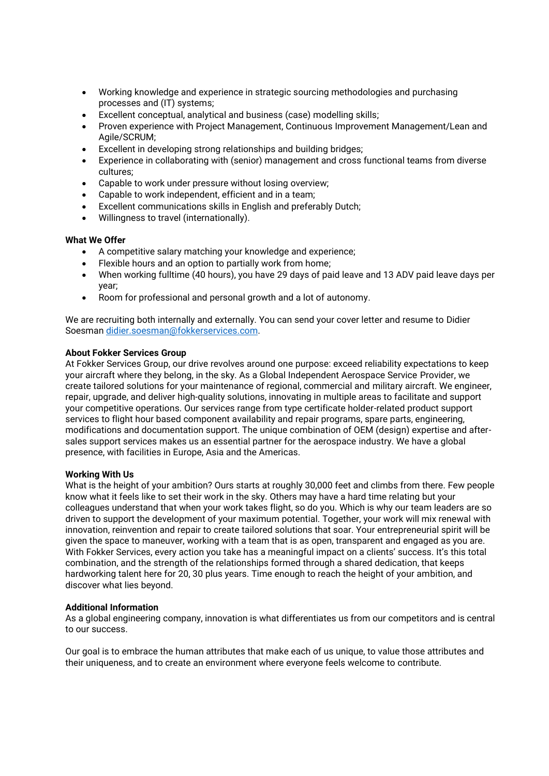- Working knowledge and experience in strategic sourcing methodologies and purchasing processes and (IT) systems;
- Excellent conceptual, analytical and business (case) modelling skills;
- Proven experience with Project Management, Continuous Improvement Management/Lean and Agile/SCRUM;
- Excellent in developing strong relationships and building bridges;
- Experience in collaborating with (senior) management and cross functional teams from diverse cultures;
- Capable to work under pressure without losing overview;
- Capable to work independent, efficient and in a team;
- Excellent communications skills in English and preferably Dutch;
- Willingness to travel (internationally).

### **What We Offer**

- A competitive salary matching your knowledge and experience;
- Flexible hours and an option to partially work from home;
- When working fulltime (40 hours), you have 29 days of paid leave and 13 ADV paid leave days per year;
- Room for professional and personal growth and a lot of autonomy.

We are recruiting both internally and externally. You can send your cover letter and resume to Didier Soesman [didier.soesman@fokkerservices.com.](mailto:didier.soesman@fokkerservices.com)

### **About Fokker Services Group**

At Fokker Services Group, our drive revolves around one purpose: exceed reliability expectations to keep your aircraft where they belong, in the sky. As a Global Independent Aerospace Service Provider, we create tailored solutions for your maintenance of regional, commercial and military aircraft. We engineer, repair, upgrade, and deliver high-quality solutions, innovating in multiple areas to facilitate and support your competitive operations. Our services range from type certificate holder-related product support services to flight hour based component availability and repair programs, spare parts, engineering, modifications and documentation support. The unique combination of OEM (design) expertise and aftersales support services makes us an essential partner for the aerospace industry. We have a global presence, with facilities in Europe, Asia and the Americas.

#### **Working With Us**

What is the height of your ambition? Ours starts at roughly 30,000 feet and climbs from there. Few people know what it feels like to set their work in the sky. Others may have a hard time relating but your colleagues understand that when your work takes flight, so do you. Which is why our team leaders are so driven to support the development of your maximum potential. Together, your work will mix renewal with innovation, reinvention and repair to create tailored solutions that soar. Your entrepreneurial spirit will be given the space to maneuver, working with a team that is as open, transparent and engaged as you are. With Fokker Services, every action you take has a meaningful impact on a clients' success. It's this total combination, and the strength of the relationships formed through a shared dedication, that keeps hardworking talent here for 20, 30 plus years. Time enough to reach the height of your ambition, and discover what lies beyond.

## **Additional Information**

As a global engineering company, innovation is what differentiates us from our competitors and is central to our success.

Our goal is to embrace the human attributes that make each of us unique, to value those attributes and their uniqueness, and to create an environment where everyone feels welcome to contribute.